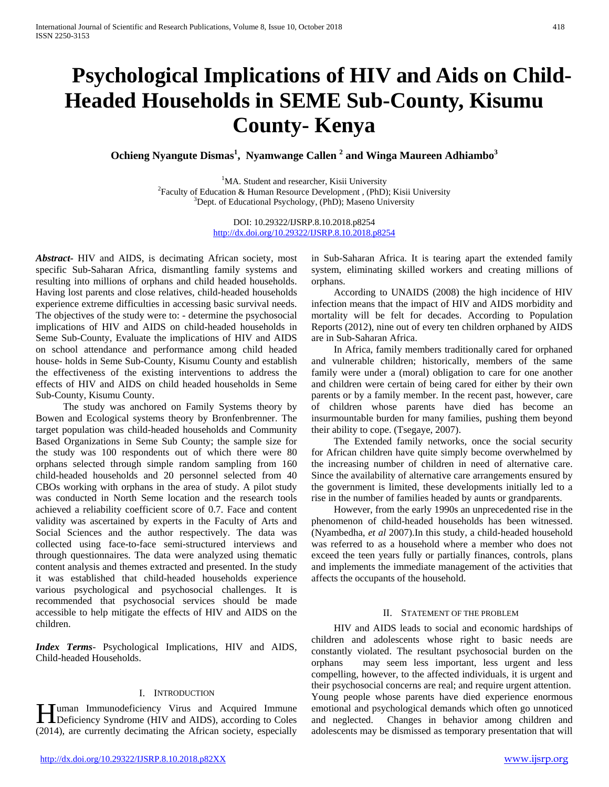# **Psychological Implications of HIV and Aids on Child-Headed Households in SEME Sub-County, Kisumu County- Kenya**

**Ochieng Nyangute Dismas1 , Nyamwange Callen <sup>2</sup> and Winga Maureen Adhiambo<sup>3</sup>**

<sup>1</sup>MA. Student and researcher, Kisii University <sup>1</sup>MA. Student and researcher, Kisii University<sup>2</sup> Faculty of Education & Human Resource Development , (PhD); Kisii University<br><sup>3</sup>Dept. of Educational Psychology (PhD): Masono University  ${}^{3}$ Dept. of Educational Psychology, (PhD); Maseno University

> DOI: 10.29322/IJSRP.8.10.2018.p8254 <http://dx.doi.org/10.29322/IJSRP.8.10.2018.p8254>

*Abstract***-** HIV and AIDS, is decimating African society, most specific Sub-Saharan Africa, dismantling family systems and resulting into millions of orphans and child headed households. Having lost parents and close relatives, child-headed households experience extreme difficulties in accessing basic survival needs. The objectives of the study were to: - determine the psychosocial implications of HIV and AIDS on child-headed households in Seme Sub-County, Evaluate the implications of HIV and AIDS on school attendance and performance among child headed house- holds in Seme Sub-County, Kisumu County and establish the effectiveness of the existing interventions to address the effects of HIV and AIDS on child headed households in Seme Sub-County, Kisumu County.

 The study was anchored on Family Systems theory by Bowen and Ecological systems theory by Bronfenbrenner. The target population was child-headed households and Community Based Organizations in Seme Sub County; the sample size for the study was 100 respondents out of which there were 80 orphans selected through simple random sampling from 160 child-headed households and 20 personnel selected from 40 CBOs working with orphans in the area of study. A pilot study was conducted in North Seme location and the research tools achieved a reliability coefficient score of 0.7. Face and content validity was ascertained by experts in the Faculty of Arts and Social Sciences and the author respectively. The data was collected using face-to-face semi-structured interviews and through questionnaires. The data were analyzed using thematic content analysis and themes extracted and presented. In the study it was established that child-headed households experience various psychological and psychosocial challenges. It is recommended that psychosocial services should be made accessible to help mitigate the effects of HIV and AIDS on the children.

*Index Terms*- Psychological Implications, HIV and AIDS, Child-headed Households.

## I. INTRODUCTION

uman Immunodeficiency Virus and Acquired Immune **IMEL EXECUTE:** MIT US Acquired Immune<br>Deficiency Syndrome (HIV and AIDS), according to Coles (2014), are currently decimating the African society, especially

in Sub-Saharan Africa. It is tearing apart the extended family system, eliminating skilled workers and creating millions of orphans.

 According to UNAIDS (2008) the high incidence of HIV infection means that the impact of HIV and AIDS morbidity and mortality will be felt for decades. According to Population Reports (2012), nine out of every ten children orphaned by AIDS are in Sub-Saharan Africa.

 In Africa, family members traditionally cared for orphaned and vulnerable children; historically, members of the same family were under a (moral) obligation to care for one another and children were certain of being cared for either by their own parents or by a family member. In the recent past, however, care of children whose parents have died has become an insurmountable burden for many families, pushing them beyond their ability to cope. (Tsegaye, 2007).

 The Extended family networks, once the social security for African children have quite simply become overwhelmed by the increasing number of children in need of alternative care. Since the availability of alternative care arrangements ensured by the government is limited, these developments initially led to a rise in the number of families headed by aunts or grandparents.

 However, from the early 1990s an unprecedented rise in the phenomenon of child-headed households has been witnessed. (Nyambedha, *et al* 2007).In this study, a child-headed household was referred to as a household where a member who does not exceed the teen years fully or partially finances, controls, plans and implements the immediate management of the activities that affects the occupants of the household.

#### II. STATEMENT OF THE PROBLEM

 HIV and AIDS leads to social and economic hardships of children and adolescents whose right to basic needs are constantly violated. The resultant psychosocial burden on the orphans may seem less important, less urgent and less compelling, however, to the affected individuals, it is urgent and their psychosocial concerns are real; and require urgent attention. Young people whose parents have died experience enormous emotional and psychological demands which often go unnoticed and neglected. Changes in behavior among children and adolescents may be dismissed as temporary presentation that will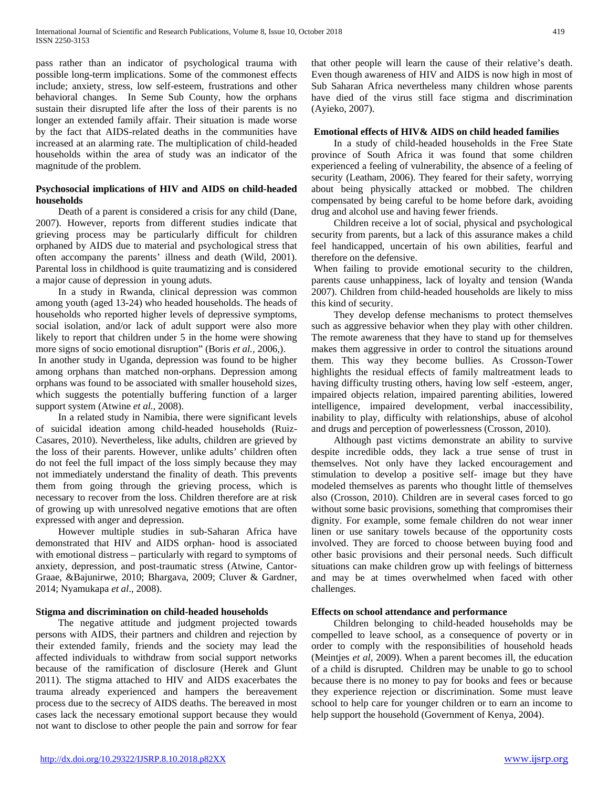pass rather than an indicator of psychological trauma with possible long-term implications. Some of the commonest effects include; anxiety, stress, low self-esteem, frustrations and other behavioral changes. In Seme Sub County, how the orphans sustain their disrupted life after the loss of their parents is no longer an extended family affair. Their situation is made worse by the fact that AIDS-related deaths in the communities have increased at an alarming rate. The multiplication of child-headed households within the area of study was an indicator of the magnitude of the problem.

## **Psychosocial implications of HIV and AIDS on child-headed households**

 Death of a parent is considered a crisis for any child (Dane, 2007). However, reports from different studies indicate that grieving process may be particularly difficult for children orphaned by AIDS due to material and psychological stress that often accompany the parents' illness and death (Wild, 2001). Parental loss in childhood is quite traumatizing and is considered a major cause of depression in young aduts.

 In a study in Rwanda, clinical depression was common among youth (aged 13-24) who headed households. The heads of households who reported higher levels of depressive symptoms, social isolation, and/or lack of adult support were also more likely to report that children under 5 in the home were showing more signs of socio emotional disruption" (Boris *et al.,* 2006,).

In another study in Uganda, depression was found to be higher among orphans than matched non-orphans. Depression among orphans was found to be associated with smaller household sizes, which suggests the potentially buffering function of a larger support system (Atwine *et al.,* 2008).

 In a related study in Namibia, there were significant levels of suicidal ideation among child-headed households (Ruiz-Casares, 2010). Nevertheless, like adults, children are grieved by the loss of their parents. However, unlike adults' children often do not feel the full impact of the loss simply because they may not immediately understand the finality of death. This prevents them from going through the grieving process, which is necessary to recover from the loss. Children therefore are at risk of growing up with unresolved negative emotions that are often expressed with anger and depression.

 However multiple studies in sub-Saharan Africa have demonstrated that HIV and AIDS orphan- hood is associated with emotional distress – particularly with regard to symptoms of anxiety, depression, and post-traumatic stress (Atwine, Cantor-Graae, &Bajunirwe, 2010; Bhargava, 2009; Cluver & Gardner, 2014; Nyamukapa *et al*., 2008).

## **Stigma and discrimination on child-headed households**

 The negative attitude and judgment projected towards persons with AIDS, their partners and children and rejection by their extended family, friends and the society may lead the affected individuals to withdraw from social support networks because of the ramification of disclosure (Herek and Glunt 2011). The stigma attached to HIV and AIDS exacerbates the trauma already experienced and hampers the bereavement process due to the secrecy of AIDS deaths. The bereaved in most cases lack the necessary emotional support because they would not want to disclose to other people the pain and sorrow for fear

that other people will learn the cause of their relative's death. Even though awareness of HIV and AIDS is now high in most of Sub Saharan Africa nevertheless many children whose parents have died of the virus still face stigma and discrimination (Ayieko, 2007).

#### **Emotional effects of HIV& AIDS on child headed families**

 In a study of child-headed households in the Free State province of South Africa it was found that some children experienced a feeling of vulnerability, the absence of a feeling of security (Leatham, 2006). They feared for their safety, worrying about being physically attacked or mobbed. The children compensated by being careful to be home before dark, avoiding drug and alcohol use and having fewer friends.

 Children receive a lot of social, physical and psychological security from parents, but a lack of this assurance makes a child feel handicapped, uncertain of his own abilities, fearful and therefore on the defensive.

When failing to provide emotional security to the children, parents cause unhappiness, lack of loyalty and tension (Wanda 2007). Children from child-headed households are likely to miss this kind of security.

 They develop defense mechanisms to protect themselves such as aggressive behavior when they play with other children. The remote awareness that they have to stand up for themselves makes them aggressive in order to control the situations around them. This way they become bullies. As Crosson-Tower highlights the residual effects of family maltreatment leads to having difficulty trusting others, having low self -esteem, anger, impaired objects relation, impaired parenting abilities, lowered intelligence, impaired development, verbal inaccessibility, inability to play, difficulty with relationships, abuse of alcohol and drugs and perception of powerlessness (Crosson, 2010).

 Although past victims demonstrate an ability to survive despite incredible odds, they lack a true sense of trust in themselves. Not only have they lacked encouragement and stimulation to develop a positive self- image but they have modeled themselves as parents who thought little of themselves also (Crosson, 2010). Children are in several cases forced to go without some basic provisions, something that compromises their dignity. For example, some female children do not wear inner linen or use sanitary towels because of the opportunity costs involved. They are forced to choose between buying food and other basic provisions and their personal needs. Such difficult situations can make children grow up with feelings of bitterness and may be at times overwhelmed when faced with other challenges.

## **Effects on school attendance and performance**

 Children belonging to child-headed households may be compelled to leave school, as a consequence of poverty or in order to comply with the responsibilities of household heads (Meintjes *et al,* 2009). When a parent becomes ill, the education of a child is disrupted. Children may be unable to go to school because there is no money to pay for books and fees or because they experience rejection or discrimination. Some must leave school to help care for younger children or to earn an income to help support the household (Government of Kenya, 2004).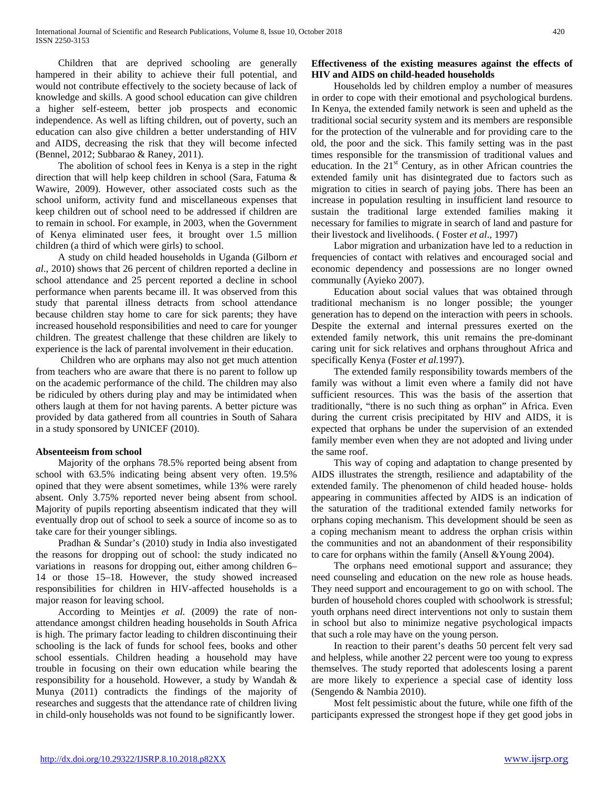Children that are deprived schooling are generally hampered in their ability to achieve their full potential, and would not contribute effectively to the society because of lack of knowledge and skills. A good school education can give children a higher self-esteem, better job prospects and economic independence. As well as lifting children, out of poverty, such an education can also give children a better understanding of HIV and AIDS, decreasing the risk that they will become infected (Bennel, 2012; Subbarao & Raney, 2011).

 The abolition of school fees in Kenya is a step in the right direction that will help keep children in school (Sara, Fatuma & Wawire, 2009). However, other associated costs such as the school uniform, activity fund and miscellaneous expenses that keep children out of school need to be addressed if children are to remain in school. For example, in 2003, when the Government of Kenya eliminated user fees, it brought over 1.5 million children (a third of which were girls) to school.

 A study on child headed households in Uganda (Gilborn *et al*., 2010) shows that 26 percent of children reported a decline in school attendance and 25 percent reported a decline in school performance when parents became ill. It was observed from this study that parental illness detracts from school attendance because children stay home to care for sick parents; they have increased household responsibilities and need to care for younger children. The greatest challenge that these children are likely to experience is the lack of parental involvement in their education.

 Children who are orphans may also not get much attention from teachers who are aware that there is no parent to follow up on the academic performance of the child. The children may also be ridiculed by others during play and may be intimidated when others laugh at them for not having parents. A better picture was provided by data gathered from all countries in South of Sahara in a study sponsored by UNICEF (2010).

## **Absenteeism from school**

 Majority of the orphans 78.5% reported being absent from school with 63.5% indicating being absent very often. 19.5% opined that they were absent sometimes, while 13% were rarely absent. Only 3.75% reported never being absent from school. Majority of pupils reporting abseentism indicated that they will eventually drop out of school to seek a source of income so as to take care for their younger siblings.

 Pradhan & Sundar's (2010) study in India also investigated the reasons for dropping out of school: the study indicated no variations in reasons for dropping out, either among children 6– 14 or those 15–18. However, the study showed increased responsibilities for children in HIV-affected households is a major reason for leaving school.

 According to Meintjes *et al.* (2009) the rate of nonattendance amongst children heading households in South Africa is high. The primary factor leading to children discontinuing their schooling is the lack of funds for school fees, books and other school essentials. Children heading a household may have trouble in focusing on their own education while bearing the responsibility for a household. However, a study by Wandah & Munya (2011) contradicts the findings of the majority of researches and suggests that the attendance rate of children living in child-only households was not found to be significantly lower.

## **Effectiveness of the existing measures against the effects of HIV and AIDS on child-headed households**

 Households led by children employ a number of measures in order to cope with their emotional and psychological burdens. In Kenya, the extended family network is seen and upheld as the traditional social security system and its members are responsible for the protection of the vulnerable and for providing care to the old, the poor and the sick. This family setting was in the past times responsible for the transmission of traditional values and education. In the  $21<sup>st</sup>$  Century, as in other African countries the extended family unit has disintegrated due to factors such as migration to cities in search of paying jobs. There has been an increase in population resulting in insufficient land resource to sustain the traditional large extended families making it necessary for families to migrate in search of land and pasture for their livestock and livelihoods. ( Foster *et al*., 1997)

 Labor migration and urbanization have led to a reduction in frequencies of contact with relatives and encouraged social and economic dependency and possessions are no longer owned communally (Ayieko 2007).

 Education about social values that was obtained through traditional mechanism is no longer possible; the younger generation has to depend on the interaction with peers in schools. Despite the external and internal pressures exerted on the extended family network, this unit remains the pre-dominant caring unit for sick relatives and orphans throughout Africa and specifically Kenya (Foster *et al.*1997).

 The extended family responsibility towards members of the family was without a limit even where a family did not have sufficient resources. This was the basis of the assertion that traditionally, "there is no such thing as orphan" in Africa. Even during the current crisis precipitated by HIV and AIDS, it is expected that orphans be under the supervision of an extended family member even when they are not adopted and living under the same roof.

 This way of coping and adaptation to change presented by AIDS illustrates the strength, resilience and adaptability of the extended family. The phenomenon of child headed house- holds appearing in communities affected by AIDS is an indication of the saturation of the traditional extended family networks for orphans coping mechanism. This development should be seen as a coping mechanism meant to address the orphan crisis within the communities and not an abandonment of their responsibility to care for orphans within the family (Ansell &Young 2004).

 The orphans need emotional support and assurance; they need counseling and education on the new role as house heads. They need support and encouragement to go on with school. The burden of household chores coupled with schoolwork is stressful; youth orphans need direct interventions not only to sustain them in school but also to minimize negative psychological impacts that such a role may have on the young person.

 In reaction to their parent's deaths 50 percent felt very sad and helpless, while another 22 percent were too young to express themselves. The study reported that adolescents losing a parent are more likely to experience a special case of identity loss (Sengendo & Nambia 2010).

 Most felt pessimistic about the future, while one fifth of the participants expressed the strongest hope if they get good jobs in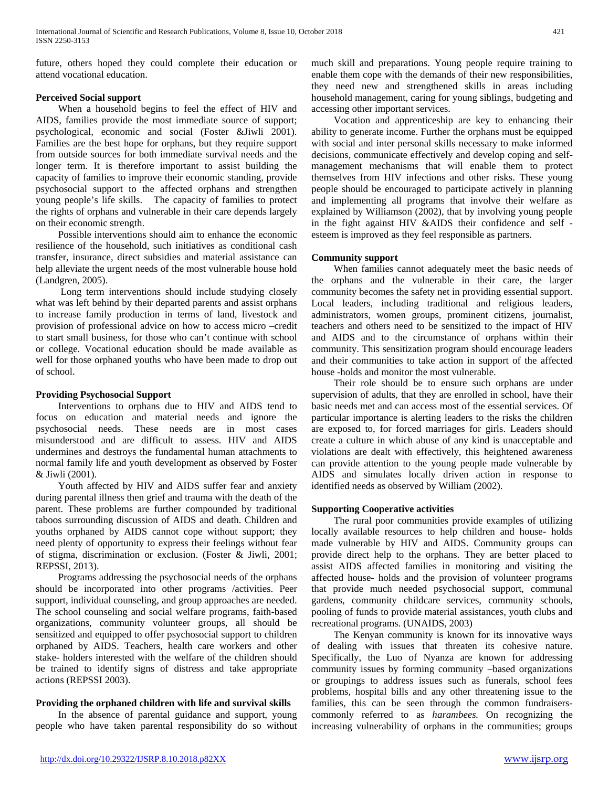future, others hoped they could complete their education or attend vocational education.

## **Perceived Social support**

 When a household begins to feel the effect of HIV and AIDS, families provide the most immediate source of support; psychological, economic and social (Foster &Jiwli 2001). Families are the best hope for orphans, but they require support from outside sources for both immediate survival needs and the longer term. It is therefore important to assist building the capacity of families to improve their economic standing, provide psychosocial support to the affected orphans and strengthen young people's life skills. The capacity of families to protect the rights of orphans and vulnerable in their care depends largely on their economic strength.

 Possible interventions should aim to enhance the economic resilience of the household, such initiatives as conditional cash transfer, insurance, direct subsidies and material assistance can help alleviate the urgent needs of the most vulnerable house hold (Landgren, 2005).

 Long term interventions should include studying closely what was left behind by their departed parents and assist orphans to increase family production in terms of land, livestock and provision of professional advice on how to access micro –credit to start small business, for those who can't continue with school or college. Vocational education should be made available as well for those orphaned youths who have been made to drop out of school.

## **Providing Psychosocial Support**

 Interventions to orphans due to HIV and AIDS tend to focus on education and material needs and ignore the psychosocial needs. These needs are in most cases misunderstood and are difficult to assess. HIV and AIDS undermines and destroys the fundamental human attachments to normal family life and youth development as observed by Foster & Jiwli (2001).

 Youth affected by HIV and AIDS suffer fear and anxiety during parental illness then grief and trauma with the death of the parent. These problems are further compounded by traditional taboos surrounding discussion of AIDS and death. Children and youths orphaned by AIDS cannot cope without support; they need plenty of opportunity to express their feelings without fear of stigma, discrimination or exclusion. (Foster & Jiwli, 2001; REPSSI, 2013).

 Programs addressing the psychosocial needs of the orphans should be incorporated into other programs /activities. Peer support, individual counseling, and group approaches are needed. The school counseling and social welfare programs, faith-based organizations, community volunteer groups, all should be sensitized and equipped to offer psychosocial support to children orphaned by AIDS. Teachers, health care workers and other stake- holders interested with the welfare of the children should be trained to identify signs of distress and take appropriate actions (REPSSI 2003).

# **Providing the orphaned children with life and survival skills**

 In the absence of parental guidance and support, young people who have taken parental responsibility do so without much skill and preparations. Young people require training to enable them cope with the demands of their new responsibilities, they need new and strengthened skills in areas including household management, caring for young siblings, budgeting and accessing other important services.

 Vocation and apprenticeship are key to enhancing their ability to generate income. Further the orphans must be equipped with social and inter personal skills necessary to make informed decisions, communicate effectively and develop coping and selfmanagement mechanisms that will enable them to protect themselves from HIV infections and other risks. These young people should be encouraged to participate actively in planning and implementing all programs that involve their welfare as explained by Williamson (2002), that by involving young people in the fight against HIV &AIDS their confidence and self esteem is improved as they feel responsible as partners.

# **Community support**

 When families cannot adequately meet the basic needs of the orphans and the vulnerable in their care, the larger community becomes the safety net in providing essential support. Local leaders, including traditional and religious leaders, administrators, women groups, prominent citizens, journalist, teachers and others need to be sensitized to the impact of HIV and AIDS and to the circumstance of orphans within their community. This sensitization program should encourage leaders and their communities to take action in support of the affected house -holds and monitor the most vulnerable.

 Their role should be to ensure such orphans are under supervision of adults, that they are enrolled in school, have their basic needs met and can access most of the essential services. Of particular importance is alerting leaders to the risks the children are exposed to, for forced marriages for girls. Leaders should create a culture in which abuse of any kind is unacceptable and violations are dealt with effectively, this heightened awareness can provide attention to the young people made vulnerable by AIDS and simulates locally driven action in response to identified needs as observed by William (2002).

# **Supporting Cooperative activities**

 The rural poor communities provide examples of utilizing locally available resources to help children and house- holds made vulnerable by HIV and AIDS. Community groups can provide direct help to the orphans. They are better placed to assist AIDS affected families in monitoring and visiting the affected house- holds and the provision of volunteer programs that provide much needed psychosocial support, communal gardens, community childcare services, community schools, pooling of funds to provide material assistances, youth clubs and recreational programs. (UNAIDS, 2003)

 The Kenyan community is known for its innovative ways of dealing with issues that threaten its cohesive nature. Specifically, the Luo of Nyanza are known for addressing community issues by forming community –based organizations or groupings to address issues such as funerals, school fees problems, hospital bills and any other threatening issue to the families, this can be seen through the common fundraiserscommonly referred to as *harambees.* On recognizing the increasing vulnerability of orphans in the communities; groups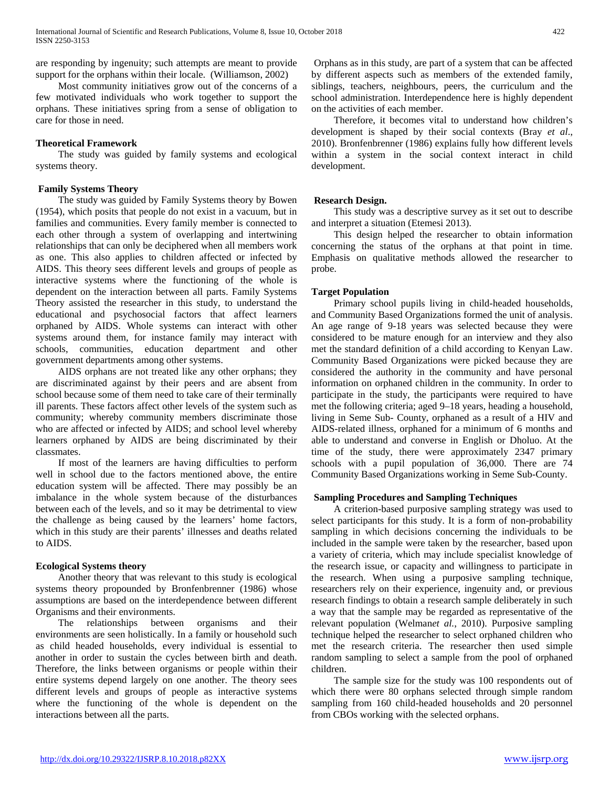are responding by ingenuity; such attempts are meant to provide support for the orphans within their locale. (Williamson, 2002)

 Most community initiatives grow out of the concerns of a few motivated individuals who work together to support the orphans. These initiatives spring from a sense of obligation to care for those in need.

## **Theoretical Framework**

 The study was guided by family systems and ecological systems theory.

## **Family Systems Theory**

 The study was guided by Family Systems theory by Bowen (1954), which posits that people do not exist in a vacuum, but in families and communities. Every family member is connected to each other through a system of overlapping and intertwining relationships that can only be deciphered when all members work as one. This also applies to children affected or infected by AIDS. This theory sees different levels and groups of people as interactive systems where the functioning of the whole is dependent on the interaction between all parts. Family Systems Theory assisted the researcher in this study, to understand the educational and psychosocial factors that affect learners orphaned by AIDS. Whole systems can interact with other systems around them, for instance family may interact with schools, communities, education department and other government departments among other systems.

 AIDS orphans are not treated like any other orphans; they are discriminated against by their peers and are absent from school because some of them need to take care of their terminally ill parents. These factors affect other levels of the system such as community; whereby community members discriminate those who are affected or infected by AIDS; and school level whereby learners orphaned by AIDS are being discriminated by their classmates.

 If most of the learners are having difficulties to perform well in school due to the factors mentioned above, the entire education system will be affected. There may possibly be an imbalance in the whole system because of the disturbances between each of the levels, and so it may be detrimental to view the challenge as being caused by the learners' home factors, which in this study are their parents' illnesses and deaths related to AIDS.

# **Ecological Systems theory**

 Another theory that was relevant to this study is ecological systems theory propounded by Bronfenbrenner (1986) whose assumptions are based on the interdependence between different Organisms and their environments.

 The relationships between organisms and their environments are seen holistically. In a family or household such as child headed households, every individual is essential to another in order to sustain the cycles between birth and death. Therefore, the links between organisms or people within their entire systems depend largely on one another. The theory sees different levels and groups of people as interactive systems where the functioning of the whole is dependent on the interactions between all the parts.

Orphans as in this study, are part of a system that can be affected by different aspects such as members of the extended family, siblings, teachers, neighbours, peers, the curriculum and the school administration. Interdependence here is highly dependent on the activities of each member.

 Therefore, it becomes vital to understand how children's development is shaped by their social contexts (Bray *et al*., 2010). Bronfenbrenner (1986) explains fully how different levels within a system in the social context interact in child development.

# **Research Design.**

 This study was a descriptive survey as it set out to describe and interpret a situation (Etemesi 2013).

 This design helped the researcher to obtain information concerning the status of the orphans at that point in time. Emphasis on qualitative methods allowed the researcher to probe.

## **Target Population**

 Primary school pupils living in child-headed households, and Community Based Organizations formed the unit of analysis. An age range of 9-18 years was selected because they were considered to be mature enough for an interview and they also met the standard definition of a child according to Kenyan Law. Community Based Organizations were picked because they are considered the authority in the community and have personal information on orphaned children in the community. In order to participate in the study, the participants were required to have met the following criteria; aged 9–18 years, heading a household, living in Seme Sub- County, orphaned as a result of a HIV and AIDS-related illness, orphaned for a minimum of 6 months and able to understand and converse in English or Dholuo. At the time of the study, there were approximately 2347 primary schools with a pupil population of 36,000. There are 74 Community Based Organizations working in Seme Sub-County.

## **Sampling Procedures and Sampling Techniques**

 A criterion-based purposive sampling strategy was used to select participants for this study. It is a form of non-probability sampling in which decisions concerning the individuals to be included in the sample were taken by the researcher, based upon a variety of criteria, which may include specialist knowledge of the research issue, or capacity and willingness to participate in the research. When using a purposive sampling technique, researchers rely on their experience, ingenuity and, or previous research findings to obtain a research sample deliberately in such a way that the sample may be regarded as representative of the relevant population (Welman*et al.*, 2010). Purposive sampling technique helped the researcher to select orphaned children who met the research criteria. The researcher then used simple random sampling to select a sample from the pool of orphaned children.

 The sample size for the study was 100 respondents out of which there were 80 orphans selected through simple random sampling from 160 child-headed households and 20 personnel from CBOs working with the selected orphans.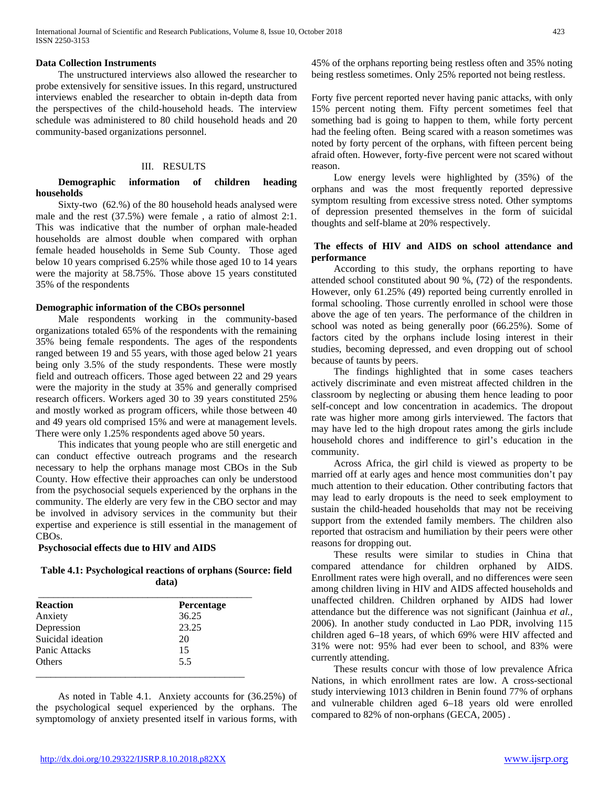#### **Data Collection Instruments**

 The unstructured interviews also allowed the researcher to probe extensively for sensitive issues. In this regard, unstructured interviews enabled the researcher to obtain in-depth data from the perspectives of the child-household heads. The interview schedule was administered to 80 child household heads and 20 community-based organizations personnel.

#### III. RESULTS

## **Demographic information of children heading households**

 Sixty-two (62.%) of the 80 household heads analysed were male and the rest (37.5%) were female , a ratio of almost 2:1. This was indicative that the number of orphan male-headed households are almost double when compared with orphan female headed households in Seme Sub County. Those aged below 10 years comprised 6.25% while those aged 10 to 14 years were the majority at 58.75%. Those above 15 years constituted 35% of the respondents

#### **Demographic information of the CBOs personnel**

 Male respondents working in the community-based organizations totaled 65% of the respondents with the remaining 35% being female respondents. The ages of the respondents ranged between 19 and 55 years, with those aged below 21 years being only 3.5% of the study respondents. These were mostly field and outreach officers. Those aged between 22 and 29 years were the majority in the study at 35% and generally comprised research officers. Workers aged 30 to 39 years constituted 25% and mostly worked as program officers, while those between 40 and 49 years old comprised 15% and were at management levels. There were only 1.25% respondents aged above 50 years.

 This indicates that young people who are still energetic and can conduct effective outreach programs and the research necessary to help the orphans manage most CBOs in the Sub County. How effective their approaches can only be understood from the psychosocial sequels experienced by the orphans in the community. The elderly are very few in the CBO sector and may be involved in advisory services in the community but their expertise and experience is still essential in the management of CBOs.

#### **Psychosocial effects due to HIV and AIDS**

## **Table 4.1: Psychological reactions of orphans (Source: field data)**

| <b>Reaction</b>   | <b>Percentage</b> |
|-------------------|-------------------|
| Anxiety           | 36.25             |
| Depression        | 23.25             |
| Suicidal ideation | 20                |
| Panic Attacks     | 15                |
| <b>Others</b>     | 5.5               |

 As noted in Table 4.1. Anxiety accounts for (36.25%) of the psychological sequel experienced by the orphans. The symptomology of anxiety presented itself in various forms, with

45% of the orphans reporting being restless often and 35% noting being restless sometimes. Only 25% reported not being restless.

Forty five percent reported never having panic attacks, with only 15% percent noting them. Fifty percent sometimes feel that something bad is going to happen to them, while forty percent had the feeling often. Being scared with a reason sometimes was noted by forty percent of the orphans, with fifteen percent being afraid often. However, forty-five percent were not scared without reason.

 Low energy levels were highlighted by (35%) of the orphans and was the most frequently reported depressive symptom resulting from excessive stress noted. Other symptoms of depression presented themselves in the form of suicidal thoughts and self-blame at 20% respectively.

#### **The effects of HIV and AIDS on school attendance and performance**

 According to this study, the orphans reporting to have attended school constituted about 90 %, (72) of the respondents. However, only 61.25% (49) reported being currently enrolled in formal schooling. Those currently enrolled in school were those above the age of ten years. The performance of the children in school was noted as being generally poor (66.25%). Some of factors cited by the orphans include losing interest in their studies, becoming depressed, and even dropping out of school because of taunts by peers.

 The findings highlighted that in some cases teachers actively discriminate and even mistreat affected children in the classroom by neglecting or abusing them hence leading to poor self-concept and low concentration in academics. The dropout rate was higher more among girls interviewed. The factors that may have led to the high dropout rates among the girls include household chores and indifference to girl's education in the community.

 Across Africa, the girl child is viewed as property to be married off at early ages and hence most communities don't pay much attention to their education. Other contributing factors that may lead to early dropouts is the need to seek employment to sustain the child-headed households that may not be receiving support from the extended family members. The children also reported that ostracism and humiliation by their peers were other reasons for dropping out.

 These results were similar to studies in China that compared attendance for children orphaned by AIDS. Enrollment rates were high overall, and no differences were seen among children living in HIV and AIDS affected households and unaffected children. Children orphaned by AIDS had lower attendance but the difference was not significant (Jainhua *et al.,* 2006). In another study conducted in Lao PDR, involving 115 children aged 6–18 years, of which 69% were HIV affected and 31% were not: 95% had ever been to school, and 83% were currently attending.

 These results concur with those of low prevalence Africa Nations, in which enrollment rates are low. A cross-sectional study interviewing 1013 children in Benin found 77% of orphans and vulnerable children aged 6–18 years old were enrolled compared to 82% of non-orphans (GECA*,* 2005) .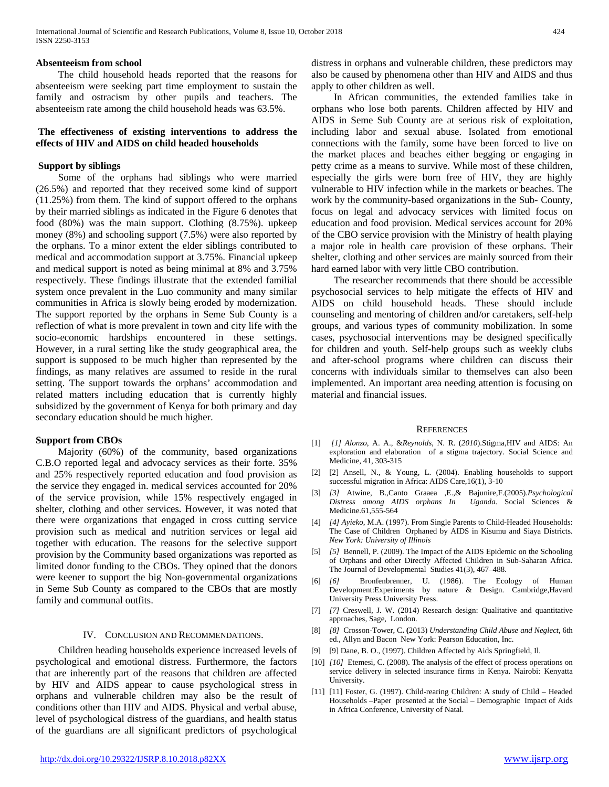#### **Absenteeism from school**

 The child household heads reported that the reasons for absenteeism were seeking part time employment to sustain the family and ostracism by other pupils and teachers. The absenteeism rate among the child household heads was 63.5%.

## **The effectiveness of existing interventions to address the effects of HIV and AIDS on child headed households**

#### **Support by siblings**

 Some of the orphans had siblings who were married (26.5%) and reported that they received some kind of support (11.25%) from them. The kind of support offered to the orphans by their married siblings as indicated in the Figure 6 denotes that food (80%) was the main support. Clothing (8.75%). upkeep money (8%) and schooling support (7.5%) were also reported by the orphans. To a minor extent the elder siblings contributed to medical and accommodation support at 3.75%. Financial upkeep and medical support is noted as being minimal at 8% and 3.75% respectively. These findings illustrate that the extended familial system once prevalent in the Luo community and many similar communities in Africa is slowly being eroded by modernization. The support reported by the orphans in Seme Sub County is a reflection of what is more prevalent in town and city life with the socio-economic hardships encountered in these settings. However, in a rural setting like the study geographical area, the support is supposed to be much higher than represented by the findings, as many relatives are assumed to reside in the rural setting. The support towards the orphans' accommodation and related matters including education that is currently highly subsidized by the government of Kenya for both primary and day secondary education should be much higher.

#### **Support from CBOs**

 Majority (60%) of the community, based organizations C.B.O reported legal and advocacy services as their forte. 35% and 25% respectively reported education and food provision as the service they engaged in. medical services accounted for 20% of the service provision, while 15% respectively engaged in shelter, clothing and other services. However, it was noted that there were organizations that engaged in cross cutting service provision such as medical and nutrition services or legal aid together with education. The reasons for the selective support provision by the Community based organizations was reported as limited donor funding to the CBOs. They opined that the donors were keener to support the big Non-governmental organizations in Seme Sub County as compared to the CBOs that are mostly family and communal outfits.

#### IV. CONCLUSION AND RECOMMENDATIONS.

 Children heading households experience increased levels of psychological and emotional distress. Furthermore, the factors that are inherently part of the reasons that children are affected by HIV and AIDS appear to cause psychological stress in orphans and vulnerable children may also be the result of conditions other than HIV and AIDS. Physical and verbal abuse, level of psychological distress of the guardians, and health status of the guardians are all significant predictors of psychological distress in orphans and vulnerable children, these predictors may also be caused by phenomena other than HIV and AIDS and thus apply to other children as well.

 In African communities, the extended families take in orphans who lose both parents. Children affected by HIV and AIDS in Seme Sub County are at serious risk of exploitation, including labor and sexual abuse. Isolated from emotional connections with the family, some have been forced to live on the market places and beaches either begging or engaging in petty crime as a means to survive. While most of these children, especially the girls were born free of HIV, they are highly vulnerable to HIV infection while in the markets or beaches. The work by the community-based organizations in the Sub- County*,* focus on legal and advocacy services with limited focus on education and food provision. Medical services account for 20% of the CBO service provision with the Ministry of health playing a major role in health care provision of these orphans. Their shelter, clothing and other services are mainly sourced from their hard earned labor with very little CBO contribution.

 The researcher recommends that there should be accessible psychosocial services to help mitigate the effects of HIV and AIDS on child household heads. These should include counseling and mentoring of children and/or caretakers, self-help groups, and various types of community mobilization. In some cases, psychosocial interventions may be designed specifically for children and youth. Self-help groups such as weekly clubs and after-school programs where children can discuss their concerns with individuals similar to themselves can also been implemented. An important area needing attention is focusing on material and financial issues.

#### **REFERENCES**

- [1] *[1] Alonzo*, A. A., &*Reynolds*, N. R. (*2010*).Stigma,HIV and AIDS: An exploration and elaboration of a stigma trajectory. Social Science and Medicine, 41, 303-315
- [2] [2] Ansell, N., & Young, L. (2004). Enabling households to support successful migration in Africa: AIDS Care,16(1), 3-10
- [3] *[3]* Atwine, B.,Canto Graaea ,E.,& Bajunire,F.(2005).*Psychological Distress among AIDS orphans In* Medicine.61,555-564
- [4] *[4] Ayieko*, M.A. (1997). From Single Parents to Child-Headed Households: The Case of Children Orphaned by AIDS in Kisumu and Siaya Districts. *New York: University of Illinois*
- [5] *[5]* Bennell, P. (2009). The Impact of the AIDS Epidemic on the Schooling of Orphans and other Directly Affected Children in Sub-Saharan Africa. The Journal of Developmental Studies 41(3), 467–488.
- [6] *[6]* Bronfenbrenner, U. (1986). The Ecology of Human Development:Experiments by nature & Design. Cambridge,Havard University Press University Press.
- [7] *[7]* Creswell, J. W. (2014) Research design: Qualitative and quantitative approaches, Sage, London.
- [8] *[8]* Crosson-Tower, C**. (**2013) *Understanding Child Abuse and Neglect*, 6th ed., Allyn and Bacon New York: Pearson Education, Inc.
- [9] [9] Dane, B. O., (1997). Children Affected by Aids Springfield, Il.
- [10] *[10]* Etemesi, C. (2008). The analysis of the effect of process operations on service delivery in selected insurance firms in Kenya. Nairobi: Kenyatta University.
- [11] [11] Foster, G. (1997). Child-rearing Children: A study of Child Headed Households –Paper presented at the Social – Demographic Impact of Aids in Africa Conference, University of Natal.